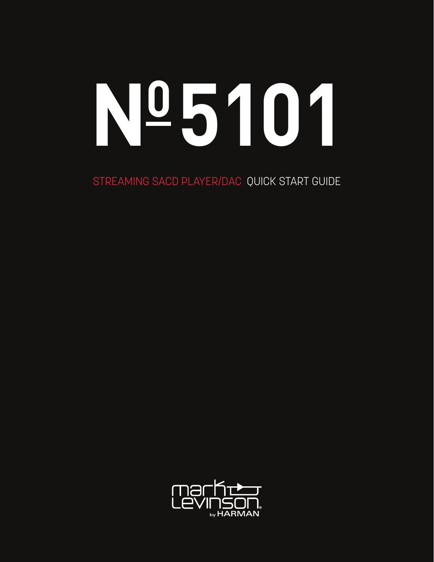# **N05101**

STREAMING SACD PLAYER/DAC QUICK START GUIDE

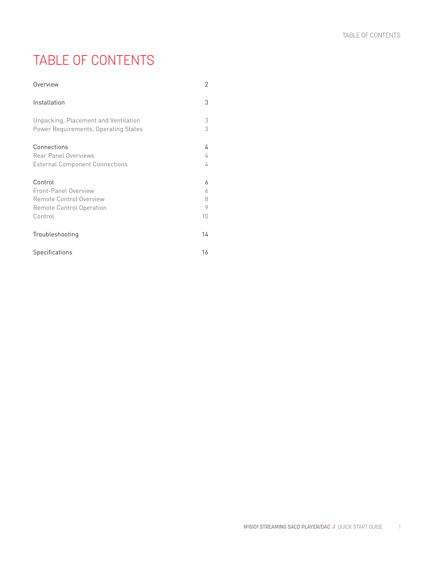# TABLE OF CONTENTS

| Overview                                                                                                 | 2                      |
|----------------------------------------------------------------------------------------------------------|------------------------|
| Installation                                                                                             | 3                      |
| Unpacking, Placement and Ventilation<br>Power Requirements, Operating States                             | 3<br>3                 |
| Connections<br><b>Rear Panel Overviews</b><br><b>External Component Connections</b>                      | 4<br>4<br>4            |
| Control<br><b>Front-Panel Overview</b><br>Remote Control Overview<br>Remote Control Operation<br>Control | 6<br>6<br>8<br>9<br>10 |
| Troubleshooting                                                                                          | 14                     |
| Specifications                                                                                           | 16                     |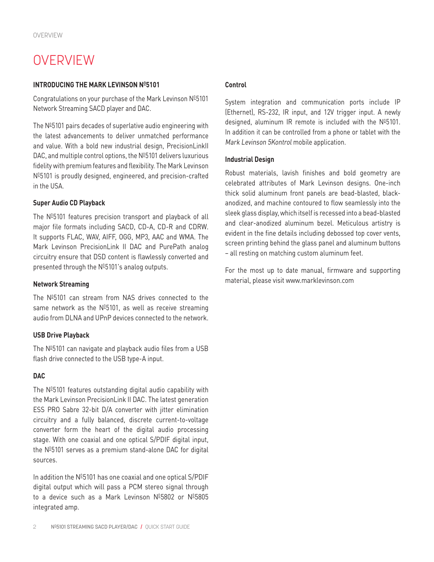# **OVERVIEW**

#### **INTRODUCING THE MARK LEVINSON Nº5101**

Congratulations on your purchase of the Mark Levinson  $N^{\underline{0}}5101$ Network Streaming SACD player and DAC.

The  $N<sup>0</sup>5101$  pairs decades of superlative audio engineering with the latest advancements to deliver unmatched performance and value. With a bold new industrial design, PrecisionLinkII DAC, and multiple control options, the  $N<sup>0</sup>5101$  delivers luxurious fidelity with premium features and flexibility. The Mark Levinson Nº5101 is proudly designed, engineered, and precision-crafted in the USA.

### **Super Audio CD Playback**

The  $N<sup>0</sup>5101$  features precision transport and playback of all major file formats including SACD, CD-A, CD-R and CDRW. It supports FLAC, WAV, AIFF, OGG, MP3, AAC and WMA. The Mark Levinson PrecisionLink II DAC and PurePath analog circuitry ensure that DSD content is flawlessly converted and presented through the  $N^{\text{0}}5101$ 's analog outputs.

#### **Network Streaming**

The  $N<sup>0</sup>5101$  can stream from NAS drives connected to the same network as the  $N^{\text{D}}$ 5101, as well as receive streaming audio from DLNA and UPnP devices connected to the network.

#### **USB Drive Playback**

The  $N<sup>0</sup>5101$  can navigate and playback audio files from a USB flash drive connected to the USB type-A input.

#### **DAC**

The  $N<sup>0</sup>5101$  features outstanding digital audio capability with the Mark Levinson PrecisionLink II DAC. The latest generation ESS PRO Sabre 32-bit D/A converter with jitter elimination circuitry and a fully balanced, discrete current-to-voltage converter form the heart of the digital audio processing stage. With one coaxial and one optical S/PDIF digital input, the  $N<sup>0</sup>5101$  serves as a premium stand-alone DAC for digital sources.

In addition the  $N<sup>0</sup>5101$  has one coaxial and one optical S/PDIF digital output which will pass a PCM stereo signal through to a device such as a Mark Levinson  $N^{\underline{0}}5802$  or  $N^{\underline{0}}5805$ integrated amp.

#### **Control**

System integration and communication ports include IP (Ethernet), RS-232, IR input, and 12V trigger input. A newly designed, aluminum IR remote is included with the  $N^{\text{D}}5101$ . In addition it can be controlled from a phone or tablet with the Mark Levinson 5Kontrol mobile application.

#### **Industrial Design**

Robust materials, lavish finishes and bold geometry are celebrated attributes of Mark Levinson designs. One-inch thick solid aluminum front panels are bead-blasted, blackanodized, and machine contoured to flow seamlessly into the sleek glass display, which itself is recessed into a bead-blasted and clear-anodized aluminum bezel. Meticulous artistry is evident in the fine details including debossed top cover vents, screen printing behind the glass panel and aluminum buttons – all resting on matching custom aluminum feet.

For the most up to date manual, firmware and supporting material, please visit www.marklevinson.com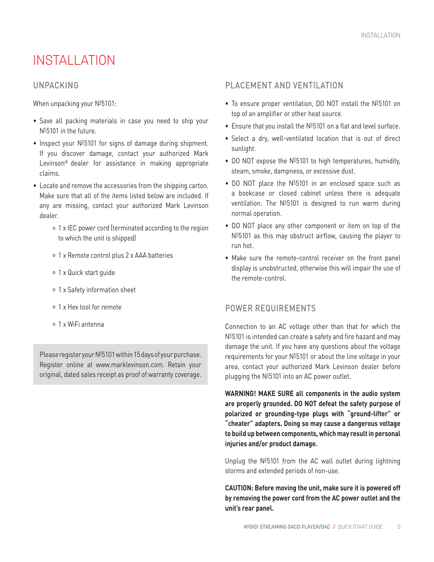# INSTALL ATION

## UNPACKING

When unpacking your Nº5101:

- Save all packing materials in case you need to ship your Nº5101 in the future.
- Inspect your  $N<sup>0</sup>5101$  for signs of damage during shipment. If you discover damage, contact your authorized Mark Levinson® dealer for assistance in making appropriate claims.
- Locate and remove the accessories from the shipping carton. Make sure that all of the items listed below are included. If any are missing, contact your authorized Mark Levinson dealer.
	- 1 x IEC power cord (terminated according to the region to which the unit is shipped)
	- 1 x Remote control plus 2 x AAA batteries
	- 1 x Quick start guide
	- 1 x Safety information sheet
	- 1 x Hex tool for remote
	- 1 x WiFi antenna

Please register your  $N^{0.5101}$  within 15 days of your purchase. Register online at www.marklevinson.com. Retain your original, dated sales receipt as proof of warranty coverage.

## PLACEMENT AND VENTILATION

- To ensure proper ventilation, DO NOT install the  $N<sup>0</sup>5101$  on top of an amplifier or other heat source.
- Ensure that you install the  $N^{\underline{0}}5101$  on a flat and level surface.
- Select a dry, well-ventilated location that is out of direct sunlight.
- DO NOT expose the  $N^{\circ}5101$  to high temperatures, humidity, steam, smoke, dampness, or excessive dust.
- DO NOT place the  $N^{\text{D}}5101$  in an enclosed space such as a bookcase or closed cabinet unless there is adequate ventilation. The  $N^{\underline{0}}5101$  is designed to run warm during normal operation.
- DO NOT place any other component or item on top of the  $N<sup>0</sup>5101$  as this may obstruct airflow, causing the player to run hot.
- Make sure the remote-control receiver on the front panel display is unobstructed, otherwise this will impair the use of the remote-control.

# POWER REQUIREMENTS

Connection to an AC voltage other than that for which the  $N<sup>0</sup>5101$  is intended can create a safety and fire hazard and may damage the unit. If you have any questions about the voltage requirements for your  $N^{\circ}5101$  or about the line voltage in your area, contact your authorized Mark Levinson dealer before plugging the  $N^{\underline{0}}5101$  into an AC power outlet.

**WARNING! MAKE SURE all components in the audio system are properly grounded. DO NOT defeat the safety purpose of polarized or grounding-type plugs with "ground-lifter" or "cheater" adapters. Doing so may cause a dangerous voltage to build up between components, which may result in personal injuries and/or product damage.**

Unplug the  $N<sup>0</sup>5101$  from the AC wall outlet during lightning storms and extended periods of non-use.

**CAUTION: Before moving the unit, make sure it is powered off by removing the power cord from the AC power outlet and the unit's rear panel.**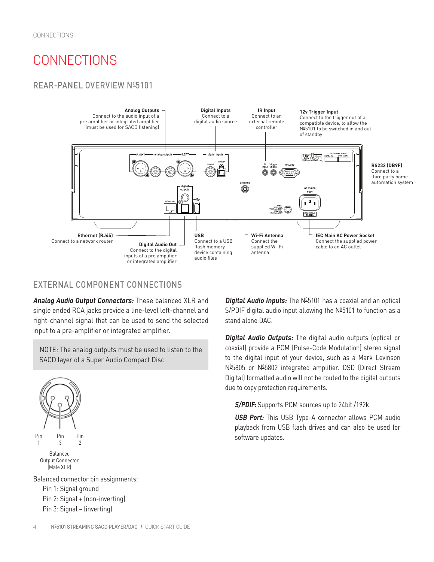# **CONNECTIONS**

# REAR-PANEL OVERVIEW Nº5101



# EXTERNAL COMPONENT CONNECTIONS

**Analog Audio Output Connectors:** These balanced XLR and single ended RCA jacks provide a line-level left-channel and right-channel signal that can be used to send the selected input to a pre-amplifier or integrated amplifier.

NOTE: The analog outputs must be used to listen to the SACD layer of a Super Audio Compact Disc.



Balanced Output Connector (Male XLR)

Balanced connector pin assignments: Pin 1: Signal ground Pin 2: Signal + (non-inverting) Pin 3: Signal – (inverting)

**Digital Audio Inputs:** The Nº5101 has a coaxial and an optical S/PDIF digital audio input allowing the  $N<sup>0</sup>5101$  to function as a stand alone DAC.

**Digital Audio Outputs:** The digital audio outputs (optical or coaxial) provide a PCM (Pulse-Code Modulation) stereo signal to the digital input of your device, such as a Mark Levinson Nº5805 or Nº5802 integrated amplifier. DSD (Direct Stream Digital) formatted audio will not be routed to the digital outputs due to copy protection requirements.

**S/PDIF:** Supports PCM sources up to 24bit /192k.

**USB Port:** This USB Type-A connector allows PCM audio playback from USB flash drives and can also be used for software updates.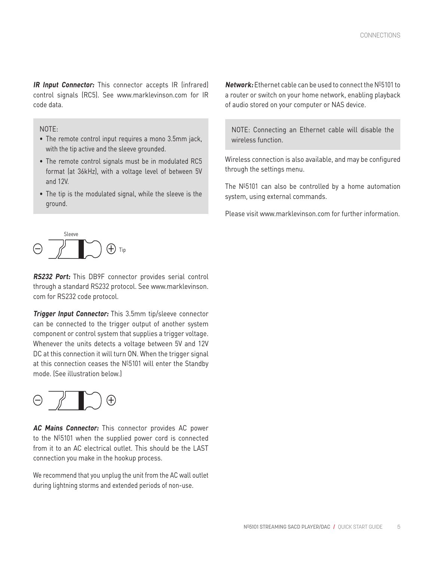**IR Input Connector:** This connector accepts IR (infrared) control signals (RC5). See www.marklevinson.com for IR code data.

#### NOTE:

- The remote control input requires a mono 3.5mm jack, with the tip active and the sleeve grounded.
- The remote control signals must be in modulated RC5 format (at 36kHz), with a voltage level of between 5V and 12V.
- The tip is the modulated signal, while the sleeve is the ground.

**Network:** Ethernet cable can be used to connect the Nº5101 to a router or switch on your home network, enabling playback of audio stored on your computer or NAS device.

NOTE: Connecting an Ethernet cable will disable the wireless function.

Wireless connection is also available, and may be configured through the settings menu.

The  $N<sup>0</sup>5101$  can also be controlled by a home automation system, using external commands.

Please visit www.marklevinson.com for further information.



**RS232 Port:** This DB9F connector provides serial control through a standard RS232 protocol. See www.marklevinson. com for RS232 code protocol.

**Trigger Input Connector:** This 3.5mm tip/sleeve connector can be connected to the trigger output of another system component or control system that supplies a trigger voltage. Whenever the units detects a voltage between 5V and 12V DC at this connection it will turn ON. When the trigger signal at this connection ceases the  $N<sup>0</sup>5101$  will enter the Standby mode. (See illustration below.)



**AC Mains Connector:** This connector provides AC power to the  $N<sup>0</sup>5101$  when the supplied power cord is connected from it to an AC electrical outlet. This should be the LAST connection you make in the hookup process.

We recommend that you unplug the unit from the AC wall outlet during lightning storms and extended periods of non-use.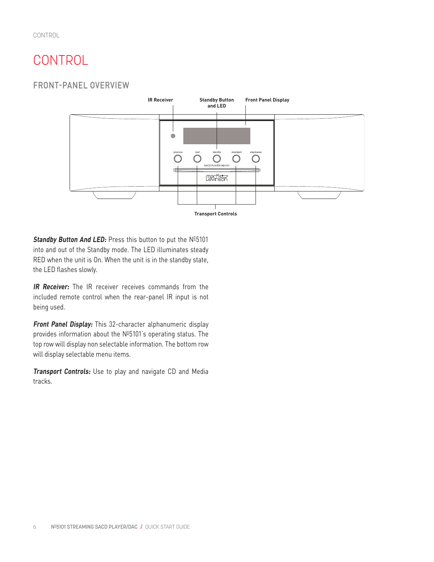# **CONTROL**

FRONT-PANEL OVERVIEW



Standby Button And LED: Press this button to put the Nº5101 into and out of the Standby mode. The LED illuminates steady RED when the unit is On. When the unit is in the standby state, the LED flashes slowly.

**IR Receiver:** The IR receiver receives commands from the included remote control when the rear-panel IR input is not being used.

**Front Panel Display:** This 32-character alphanumeric display provides information about the  $N<sup>0</sup>5101$ 's operating status. The top row will display non selectable information. The bottom row will display selectable menu items.

**Transport Controls:** Use to play and navigate CD and Media tracks.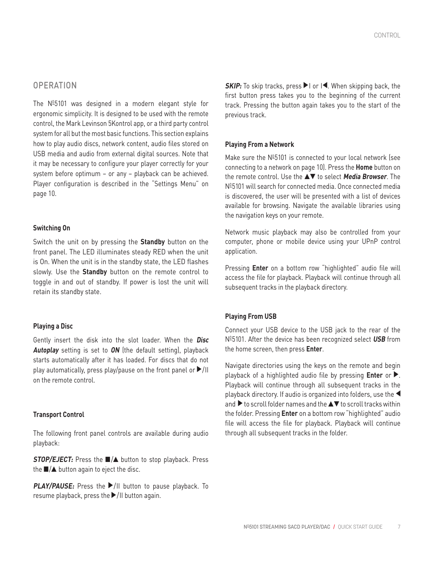The  $N<sup>0</sup>5101$  was designed in a modern elegant style for ergonomic simplicity. It is designed to be used with the remote control, the Mark Levinson 5Kontrol app, or a third party control system for all but the most basic functions. This section explains how to play audio discs, network content, audio files stored on USB media and audio from external digital sources. Note that it may be necessary to configure your player correctly for your system before optimum – or any – playback can be achieved. Player configuration is described in the "Settings Menu" on page 10.

#### **Switching On**

Switch the unit on by pressing the **Standby** button on the front panel. The LED illuminates steady RED when the unit is On. When the unit is in the standby state, the LED flashes slowly. Use the **Standby** button on the remote control to toggle in and out of standby. If power is lost the unit will retain its standby state.

#### **Playing a Disc**

Gently insert the disk into the slot loader. When the **Disc Autoplay** setting is set to **ON** (the default setting), playback starts automatically after it has loaded. For discs that do not play automatically, press play/pause on the front panel or  $\blacktriangleright$ /II on the remote control.

#### **Transport Control**

The following front panel controls are available during audio playback:

**STOP/EJECT:** Press the ■/▲ button to stop playback. Press the  $\blacksquare/\blacktriangle$  button again to eject the disc.

**PLAY/PAUSE:** Press the ▶/II button to pause playback. To resume playback, press the  $\blacktriangleright$ /II button again.

**SKIP:** To skip tracks, press ▶I or I◀. When skipping back, the first button press takes you to the beginning of the current track. Pressing the button again takes you to the start of the previous track.

#### **Playing From a Network**

Make sure the  $N<sup>0</sup>5101$  is connected to your local network (see connecting to a network on page 10). Press the **Home** button on the remote control. Use the ▲▼ to select **Media Browser**. The  $N<sup>0</sup>5101$  will search for connected media. Once connected media is discovered, the user will be presented with a list of devices available for browsing. Navigate the available libraries using the navigation keys on your remote.

Network music playback may also be controlled from your computer, phone or mobile device using your UPnP control application.

Pressing **Enter** on a bottom row "highlighted" audio file will access the file for playback. Playback will continue through all subsequent tracks in the playback directory.

#### **Playing From USB**

Connect your USB device to the USB jack to the rear of the N05101. After the device has been recognized select **USB** from the home screen, then press **Enter**.

Navigate directories using the keys on the remote and begin playback of a highlighted audio file by pressing **Enter** or ▶. Playback will continue through all subsequent tracks in the playback directory. If audio is organized into folders, use the ▲ and  $\blacktriangleright$  to scroll folder names and the  $\blacktriangle\nabla$  to scroll tracks within the folder. Pressing **Enter** on a bottom row "highlighted" audio file will access the file for playback. Playback will continue through all subsequent tracks in the folder.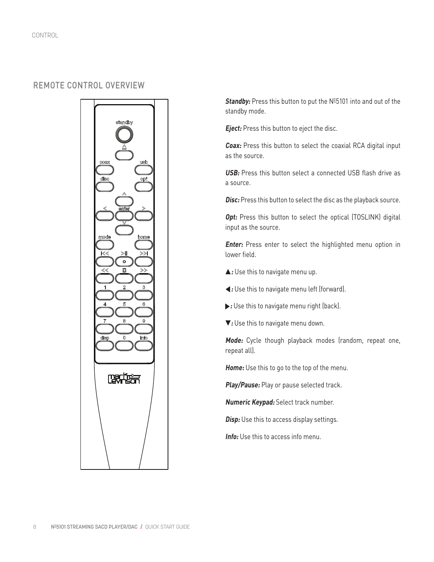# REMOTE CONTROL OVERVIEW



**Standby:** Press this button to put the Nº5101 into and out of the standby mode.

**Eject:** Press this button to eject the disc.

**Coax:** Press this button to select the coaxial RCA digital input as the source.

**USB:** Press this button select a connected USB flash drive as a source.

**Disc:** Press this button to select the disc as the playback source.

**Opt:** Press this button to select the optical (TOSLINK) digital input as the source.

**Enter:** Press enter to select the highlighted menu option in lower field.

- ▲ **:** Use this to navigate menu up.
- ▲**:** Use this to navigate menu left (forward).
- $\blacktriangleright$  : Use this to navigate menu right (back).
- ▼**:** Use this to navigate menu down.

**Mode:** Cycle though playback modes (random, repeat one, repeat all).

**Home:** Use this to go to the top of the menu.

**Play/Pause:** Play or pause selected track.

**Numeric Keypad:** Select track number.

**Disp:** Use this to access display settings.

**Info:** Use this to access info menu.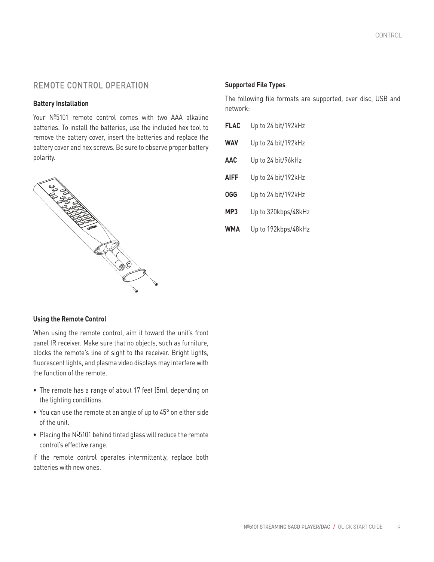# REMOTE CONTROL OPERATION

#### **Battery Installation**

Your Nº5101 remote control comes with two AAA alkaline batteries. To install the batteries, use the included hex tool to remove the battery cover, insert the batteries and replace the battery cover and hex screws. Be sure to observe proper battery polarity.



## **Supported File Types**

The following file formats are supported, over disc, USB and network:

| <b>FLAC</b> | Up to 24 bit/192kHz |
|-------------|---------------------|
| <b>WAV</b>  | Up to 24 bit/192kHz |
| <b>AAC</b>  | Up to 24 bit/96kHz  |
| <b>AIFF</b> | Up to 24 bit/192kHz |
| <b>OGG</b>  | Up to 24 bit/192kHz |
| MP3         | Up to 320kbps/48kHz |

**WMA** Up to 192kbps/48kHz

#### **Using the Remote Control**

When using the remote control, aim it toward the unit's front panel IR receiver. Make sure that no objects, such as furniture, blocks the remote's line of sight to the receiver. Bright lights, fluorescent lights, and plasma video displays may interfere with the function of the remote.

- The remote has a range of about 17 feet (5m), depending on the lighting conditions.
- You can use the remote at an angle of up to 45° on either side of the unit.
- Placing the  $N<sup>0</sup>5101$  behind tinted glass will reduce the remote control's effective range.

If the remote control operates intermittently, replace both batteries with new ones.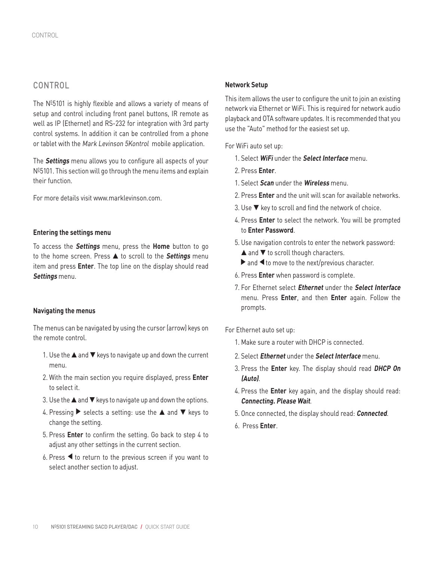# CONTROL

The  $N<sup>0</sup>5101$  is highly flexible and allows a variety of means of setup and control including front panel buttons, IR remote as well as IP (Ethernet) and RS-232 for integration with 3rd party control systems. In addition it can be controlled from a phone or tablet with the Mark Levinson 5Kontrol mobile application.

The **Settings** menu allows you to configure all aspects of your Nº5101. This section will go through the menu items and explain their function.

For more details visit www.marklevinson.com.

#### **Entering the settings menu**

To access the **Settings** menu, press the **Home** button to go to the home screen. Press ▲ to scroll to the **Settings** menu item and press **Enter**. The top line on the display should read **Settings** menu.

#### **Navigating the menus**

The menus can be navigated by using the cursor (arrow) keys on the remote control.

- 1. Use the ▲ and ▼ keys to navigate up and down the current menu.
- 2. With the main section you require displayed, press **Enter** to select it.
- 3. Use the  $\blacktriangle$  and  $\nabla$  keys to navigate up and down the options.
- 4. Pressing  $\triangleright$  selects a setting: use the  $\blacktriangle$  and  $\nabla$  keys to change the setting.
- 5. Press **Enter** to confirm the setting. Go back to step 4 to adjust any other settings in the current section.
- 6. Press  $\blacktriangleleft$  to return to the previous screen if you want to select another section to adjust.

#### **Network Setup**

This item allows the user to configure the unit to join an existing network via Ethernet or WiFi. This is required for network audio playback and OTA software updates. It is recommended that you use the "Auto" method for the easiest set up.

For WiFi auto set up:

- 1. Select **WiFi** under the **Select Interface** menu.
- 2. Press **Enter**.
- 1. Select **Scan** under the **Wireless** menu.
- 2. Press **Enter** and the unit will scan for available networks.
- 3. Use ▼ key to scroll and find the network of choice.
- 4. Press **Enter** to select the network. You will be prompted to **Enter Password**.
- 5. Use navigation controls to enter the network password: **▲ and ▼ to scroll though characters.** 
	- $\triangleright$  and  $\blacktriangleleft$  to move to the next/previous character.
- 6. Press **Enter** when password is complete.
- 7. For Ethernet select **Ethernet** under the **Select Interface**  menu. Press **Enter**, and then **Enter** again. Follow the prompts.

For Ethernet auto set up:

- 1. Make sure a router with DHCP is connected.
- 2. Select **Ethernet** under the **Select Interface** menu.
- 3. Press the **Enter** key. The display should read **DHCP On (Auto)**.
- 4. Press the **Enter** key again, and the display should read: **Connecting. Please Wait**.
- 5. Once connected, the display should read: **Connected**.
- 6. Press **Enter**.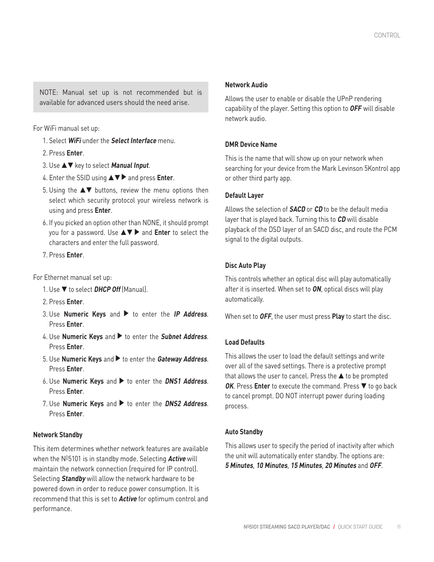NOTE: Manual set up is not recommended but is available for advanced users should the need arise.

For WiFi manual set up:

- 1. Select **WiFi** under the **Select Interface** menu.
- 2. Press **Enter**.
- 3. Use ▲▼ key to select **Manual Input**.
- 4. Enter the SSID using ▲▼ ▲ and press **Enter**.
- 5. Using the ▲▼ buttons, review the menu options then select which security protocol your wireless network is using and press **Enter**.
- 6. If you picked an option other than NONE, it should prompt you for a password. Use **AV** > and Enter to select the characters and enter the full password.
- 7. Press **Enter**.

For Ethernet manual set up:

- 1. Use ▼ to select **DHCP Off** (Manual).
- 2. Press **Enter**.
- 3. Use **Numeric Keys** and ▲ to enter the **IP Address**. Press **Enter**.
- 4. Use **Numeric Keys** and ▲ to enter the **Subnet Address**. Press **Enter**.
- 5. Use **Numeric Keys** and ▲ to enter the **Gateway Address**. Press **Enter**.
- 6. Use **Numeric Keys** and ▲ to enter the **DNS1 Address**. Press **Enter**.
- 7. Use **Numeric Keys** and ▲ to enter the **DNS2 Address**. Press **Enter**.

#### **Network Standby**

This item determines whether network features are available when the N<sup>0</sup>5101 is in standby mode. Selecting **Active** will maintain the network connection (required for IP control). Selecting **Standby** will allow the network hardware to be powered down in order to reduce power consumption. It is recommend that this is set to **Active** for optimum control and performance.

#### **Network Audio**

Allows the user to enable or disable the UPnP rendering capability of the player. Setting this option to **OFF** will disable network audio.

#### **DMR Device Name**

This is the name that will show up on your network when searching for your device from the Mark Levinson 5Kontrol app or other third party app.

#### **Default Layer**

Allows the selection of **SACD** or **CD** to be the default media layer that is played back. Turning this to **CD** will disable playback of the DSD layer of an SACD disc, and route the PCM signal to the digital outputs.

#### **Disc Auto Play**

This controls whether an optical disc will play automatically after it is inserted. When set to **ON**, optical discs will play automatically.

When set to **OFF**, the user must press **Play** to start the disc.

#### **Load Defaults**

This allows the user to load the default settings and write over all of the saved settings. There is a protective prompt that allows the user to cancel. Press the ▲ to be prompted **OK**. Press **Enter** to execute the command. Press ▼ to go back to cancel prompt. DO NOT interrupt power during loading process.

#### **Auto Standby**

This allows user to specify the period of inactivity after which the unit will automatically enter standby. The options are: **5 Minutes**, **10 Minutes**, **15 Minutes**, **20 Minutes** and **OFF**.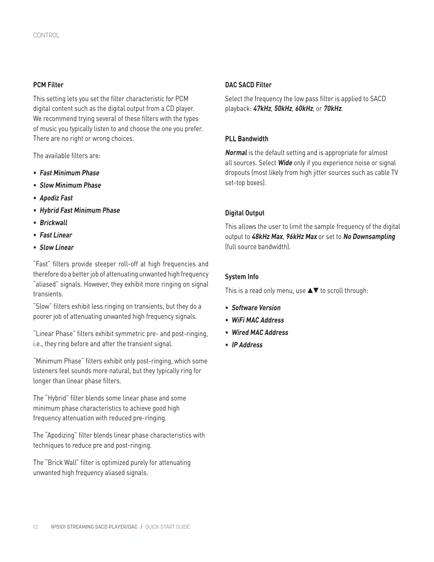#### **PCM Filter**

This setting lets you set the filter characteristic for PCM digital content such as the digital output from a CD player. We recommend trying several of these filters with the types of music you typically listen to and choose the one you prefer. There are no right or wrong choices.

The available filters are:

- **Fast Minimum Phase**
- **Slow Minimum Phase**
- **Apodiz Fast**
- **Hybrid Fast Minimum Phase**
- **Brickwall**
- **Fast Linear**
- **Slow Linear**

"Fast" filters provide steeper roll-off at high frequencies and therefore do a better job of attenuating unwanted high frequency "aliased" signals. However, they exhibit more ringing on signal transients.

"Slow" filters exhibit less ringing on transients, but they do a poorer job of attenuating unwanted high frequency signals.

"Linear Phase" filters exhibit symmetric pre- and post-ringing, i.e., they ring before and after the transient signal.

"Minimum Phase" filters exhibit only post-ringing, which some listeners feel sounds more natural, but they typically ring for longer than linear phase filters.

The "Hybrid" filter blends some linear phase and some minimum phase characteristics to achieve good high frequency attenuation with reduced pre-ringing.

The "Apodizing" filter blends linear phase characteristics with techniques to reduce pre and post-ringing.

The "Brick Wall" filter is optimized purely for attenuating unwanted high frequency aliased signals.

#### **DAC SACD Filter**

Select the frequency the low pass filter is applied to SACD playback: **47kHz**, **50kHz**, **60kHz**, or **70kHz**.

#### **PLL Bandwidth**

**Normal** is the default setting and is appropriate for almost all sources. Select **Wide** only if you experience noise or signal dropouts (most likely from high jitter sources such as cable TV set-top boxes).

#### **Digital Output**

This allows the user to limit the sample frequency of the digital output to **48kHz Max**, **96kHz Max** or set to **No Downsampling** (full source bandwidth).

#### **System Info**

This is a read only menu, use  $\blacktriangle\blacktriangledown$  to scroll through:

- **Software Version**
- **WiFi MAC Address**
- **Wired MAC Address**
- **IP Address**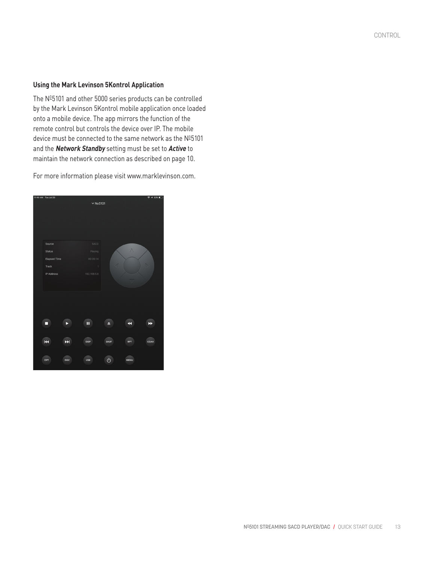CONTROL

#### **Using the Mark Levinson 5Kontrol Application**

The Nº5101 and other 5000 series products can be controlled by the Mark Levinson 5Kontrol mobile application once loaded onto a mobile device. The app mirrors the function of the remote control but controls the device over IP. The mobile device must be connected to the same network as the  $N^{\underline{0}}5101$ and the **Network Standby** setting must be set to **Active** to maintain the network connection as described on page 10.

For more information please visit www.marklevinson.com.

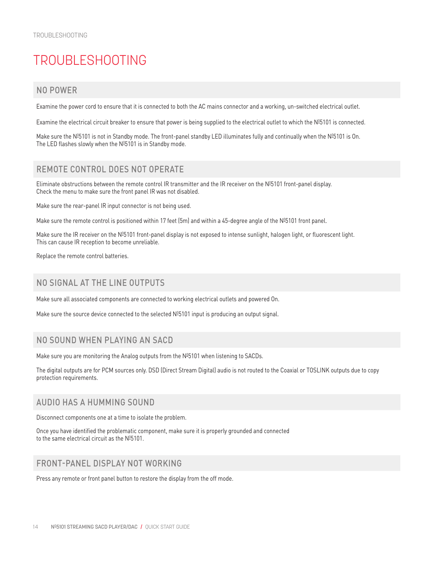# TROUBLESHOOTING

# NO POWER

Examine the power cord to ensure that it is connected to both the AC mains connector and a working, un-switched electrical outlet.

Examine the electrical circuit breaker to ensure that power is being supplied to the electrical outlet to which the  $\mathsf{N}^{\mathsf{g}}5101$  is connected.

Make sure the N<sup>g</sup>5101 is not in Standby mode. The front-panel standby LED illuminates fully and continually when the N<sup>g</sup>5101 is On. The LED flashes slowly when the  $N^{0.5101}$  is in Standby mode.

# REMOTE CONTROL DOES NOT OPERATE

Eliminate obstructions between the remote control IR transmitter and the IR receiver on the  $N^{0.5101}$  front-panel display. Check the menu to make sure the front panel IR was not disabled.

Make sure the rear-panel IR input connector is not being used.

Make sure the remote control is positioned within 17 feet (5m) and within a 45-degree angle of the Nº5101 front panel.

Make sure the IR receiver on the Nº5101 front-panel display is not exposed to intense sunlight, halogen light, or fluorescent light. This can cause IR reception to become unreliable.

Replace the remote control batteries.

# NO SIGNAL AT THE LINE OUTPUTS

Make sure all associated components are connected to working electrical outlets and powered On.

Make sure the source device connected to the selected  $N^{0.5}101$  input is producing an output signal.

# NO SOUND WHEN PLAYING AN SACD

Make sure you are monitoring the Analog outputs from the  $N^{0.5101}$  when listening to SACDs.

The digital outputs are for PCM sources only. DSD (Direct Stream Digital) audio is not routed to the Coaxial or TOSLINK outputs due to copy protection requirements.

## AUDIO HAS A HUMMING SOUND

Disconnect components one at a time to isolate the problem.

Once you have identified the problematic component, make sure it is properly grounded and connected to the same electrical circuit as the  $\mathsf{N}^{\underline{\mathsf{0}}}5101.$ 

## FRONT-PANEL DISPLAY NOT WORKING

Press any remote or front panel button to restore the display from the off mode.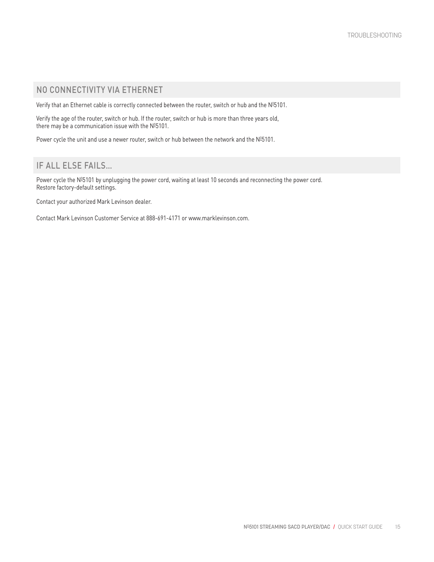# NO CONNECTIVITY VIA ETHERNET

Verify that an Ethernet cable is correctly connected between the router, switch or hub and the  $\mathsf{N}^{\mathsf{g}}5101.$ 

Verify the age of the router, switch or hub. If the router, switch or hub is more than three years old, there may be a communication issue with the  $N^{0.5101}$ .

Power cycle the unit and use a newer router, switch or hub between the network and the  $N^{0.5101}$ .

# IF ALL ELSE FAILS…

Power cycle the №5101 by unplugging the power cord, waiting at least 10 seconds and reconnecting the power cord. Restore factory-default settings.

Contact your authorized Mark Levinson dealer.

Contact Mark Levinson Customer Service at 888-691-4171 or www.marklevinson.com.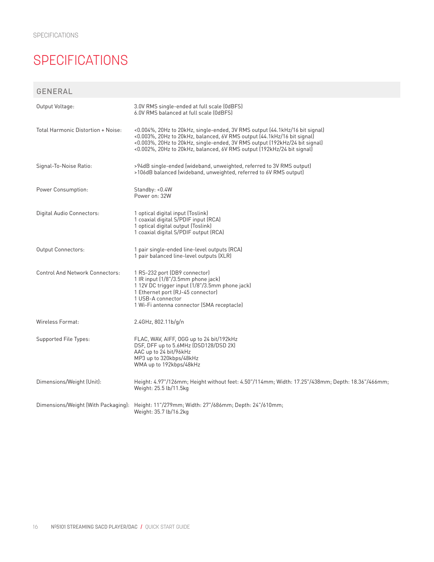# **SPECIFICATIONS**

GENERAL

| Output Voltage:                    | 3.0V RMS single-ended at full scale (0dBFS)<br>6.0V RMS balanced at full scale (0dBFS)                                                                                                                                                                                                                         |
|------------------------------------|----------------------------------------------------------------------------------------------------------------------------------------------------------------------------------------------------------------------------------------------------------------------------------------------------------------|
| Total Harmonic Distortion + Noise: | <0.004%, 20Hz to 20kHz, single-ended, 3V RMS output (44.1kHz/16 bit signal)<br><0.003%, 20Hz to 20kHz, balanced, 6V RMS output (44.1kHz/16 bit signal)<br><0.003%, 20Hz to 20kHz, single-ended, 3V RMS output (192kHz/24 bit signal)<br><0.002%, 20Hz to 20kHz, balanced, 6V RMS output (192kHz/24 bit signal) |
| Signal-To-Noise Ratio:             | >94dB single-ended (wideband, unweighted, referred to 3V RMS output)<br>>106dB balanced (wideband, unweighted, referred to 6V RMS output)                                                                                                                                                                      |
| Power Consumption:                 | Standby: <0.4W<br>Power on: 32W                                                                                                                                                                                                                                                                                |
| Digital Audio Connectors:          | 1 optical digital input (Toslink)<br>1 coaxial digital S/PDIF input (RCA)<br>1 optical digital output (Toslink)<br>1 coaxial digital S/PDIF output (RCA)                                                                                                                                                       |
| <b>Output Connectors:</b>          | 1 pair single-ended line-level outputs (RCA)<br>1 pair balanced line-level outputs (XLR)                                                                                                                                                                                                                       |
| Control And Network Connectors:    | 1 RS-232 port (DB9 connector)<br>1 IR input (1/8"/3.5mm phone jack)<br>112V DC trigger input (1/8"/3.5mm phone jack)<br>1 Ethernet port (RJ-45 connector)<br>1 USB-A connector<br>1 Wi-Fi antenna connector (SMA receptacle)                                                                                   |
| Wireless Format:                   | 2.4GHz, 802.11b/g/n                                                                                                                                                                                                                                                                                            |
| Supported File Types:              | FLAC, WAV, AIFF, OGG up to 24 bit/192kHz<br>DSF, DFF up to 5.6MHz (DSD128/DSD 2X)<br>AAC up to 24 bit/96kHz<br>MP3 up to 320kbps/48kHz<br>WMA up to 192kbps/48kHz                                                                                                                                              |
| Dimensions/Weight (Unit):          | Height: 4.97"/126mm; Height without feet: 4.50"/114mm; Width: 17.25"/438mm; Depth: 18.36"/466mm;<br>Weight: 25.5 lb/11.5kg                                                                                                                                                                                     |
|                                    | Dimensions/Weight (With Packaging): Height: 11"/279mm; Width: 27"/686mm; Depth: 24"/610mm;<br>Weight: 35.7 lb/16.2kg                                                                                                                                                                                           |